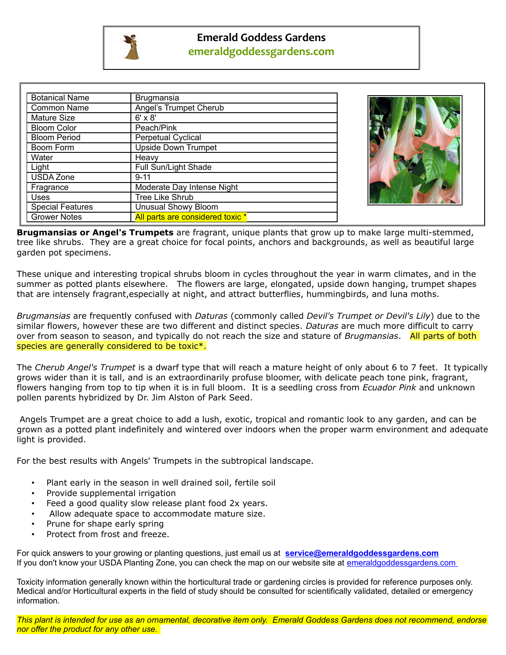

| <b>Botanical Name</b>   | <b>Brugmansia</b>                |  |
|-------------------------|----------------------------------|--|
| <b>Common Name</b>      | Angel's Trumpet Cherub           |  |
| Mature Size             | $6' \times 8'$                   |  |
| <b>Bloom Color</b>      | Peach/Pink                       |  |
| <b>Bloom Period</b>     | <b>Perpetual Cyclical</b>        |  |
| Boom Form               | <b>Upside Down Trumpet</b>       |  |
| Water                   | Heavy                            |  |
| Light                   | Full Sun/Light Shade             |  |
| <b>USDA Zone</b>        | $9 - 11$                         |  |
| Fragrance               | Moderate Day Intense Night       |  |
| Uses                    | Tree Like Shrub                  |  |
| <b>Special Features</b> | <b>Unusual Showy Bloom</b>       |  |
| <b>Grower Notes</b>     | All parts are considered toxic * |  |



**Brugmansias or Angel's Trumpets** are fragrant, unique plants that grow up to make large multi-stemmed, tree like shrubs. They are a great choice for focal points, anchors and backgrounds, as well as beautiful large garden pot specimens.

These unique and interesting tropical shrubs bloom in cycles throughout the year in warm climates, and in the summer as potted plants elsewhere. The flowers are large, elongated, upside down hanging, trumpet shapes that are intensely fragrant,especially at night, and attract butterflies, hummingbirds, and luna moths.

*Brugmansias* are frequently confused with *Daturas* (commonly called *Devil's Trumpet or Devil's Lily*) due to the similar flowers, however these are two different and distinct species. *Daturas* are much more difficult to carry over from season to season, and typically do not reach the size and stature of *Brugmansias*. All parts of both species are generally considered to be toxic\*.

The *Cherub Angel's Trumpet* is a dwarf type that will reach a mature height of only about 6 to 7 feet. It typically grows wider than it is tall, and is an extraordinarily profuse bloomer, with delicate peach tone pink, fragrant, flowers hanging from top to tip when it is in full bloom. It is a seedling cross from *Ecuador Pink* and unknown pollen parents hybridized by Dr. Jim Alston of Park Seed.

 Angels Trumpet are a great choice to add a lush, exotic, tropical and romantic look to any garden, and can be grown as a potted plant indefinitely and wintered over indoors when the proper warm environment and adequate light is provided.

For the best results with Angels' Trumpets in the subtropical landscape.

- Plant early in the season in well drained soil, fertile soil
- Provide supplemental irrigation
- Feed a good quality slow release plant food 2x years.
- Allow adequate space to accommodate mature size.
- Prune for shape early spring
- Protect from frost and freeze.

For quick answers to your growing or planting questions, just email us at **[service@emeraldgoddessgardens.com](mailto:service@emeraldgoddessgardens.com)** If you don't know your USDA Planting Zone, you can check the map on our website site at emeraldgoddessgardens.com

Toxicity information generally known within the horticultural trade or gardening circles is provided for reference purposes only. Medical and/or Horticultural experts in the field of study should be consulted for scientifically validated, detailed or emergency information.

*This plant is intended for use as an ornamental, decorative item only. Emerald Goddess Gardens does not recommend, endorse nor offer the product for any other use.*